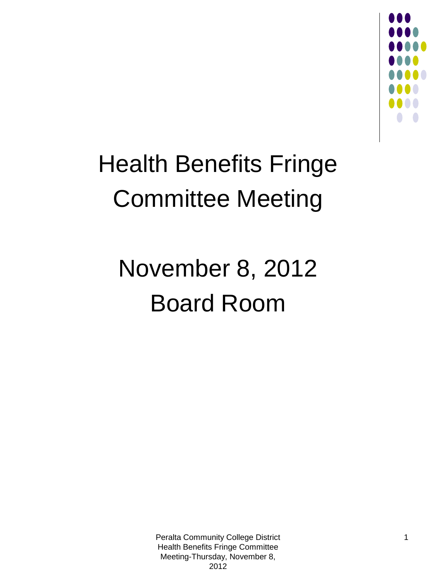

## Health Benefits Fringe Committee Meeting

### November 8, 2012 Board Room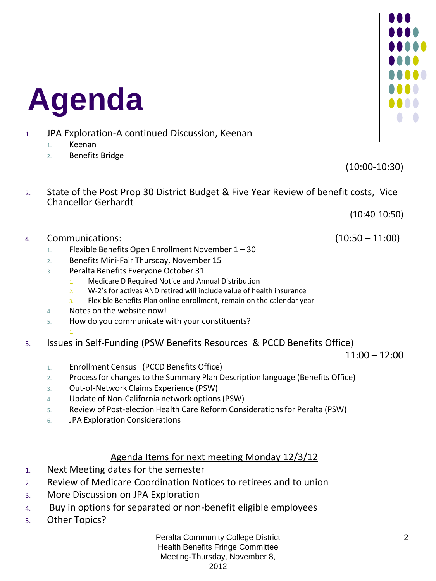## **Agenda**

- 1. JPA Exploration-A continued Discussion, Keenan
	- 1. Keenan
	- 2. Benefits Bridge

(10:00-10:30)

2. State of the Post Prop 30 District Budget & Five Year Review of benefit costs, Vice Chancellor Gerhardt

(10:40-10:50)

- 4. Communications: (10:50 11:00)
	- 1. Flexible Benefits Open Enrollment November  $1 30$
	- 2. Benefits Mini-Fair Thursday, November 15
	- 3. Peralta Benefits Everyone October 31
		- 1. Medicare D Required Notice and Annual Distribution
		- 2. W-2's for actives AND retired will include value of health insurance
		- 3. Flexible Benefits Plan online enrollment, remain on the calendar year
	- 4. Notes on the website now!
	- 5. How do you communicate with your constituents?
		-

### 1. 5. Issues in Self-Funding (PSW Benefits Resources & PCCD Benefits Office)

 $11:00 - 12:00$ 

- 1. Enrollment Census (PCCD Benefits Office)
- 2. Process for changes to the Summary Plan Description language (Benefits Office)
- 3. Out-of-Network Claims Experience (PSW)
- 4. Update of Non-California network options (PSW)
- 5. Review of Post-election Health Care Reform Considerations for Peralta (PSW)
- 6. JPA Exploration Considerations

### Agenda Items for next meeting Monday 12/3/12

- 1. Next Meeting dates for the semester
- 2. Review of Medicare Coordination Notices to retirees and to union
- 3. More Discussion on JPA Exploration
- 4. Buy in options for separated or non-benefit eligible employees
- 5. Other Topics?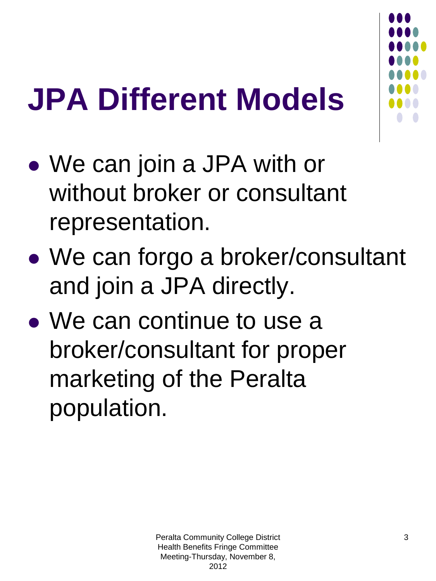## **JPA Different Models**

- We can join a JPA with or without broker or consultant representation.
- We can forgo a broker/consultant and join a JPA directly.
- We can continue to use a broker/consultant for proper marketing of the Peralta population.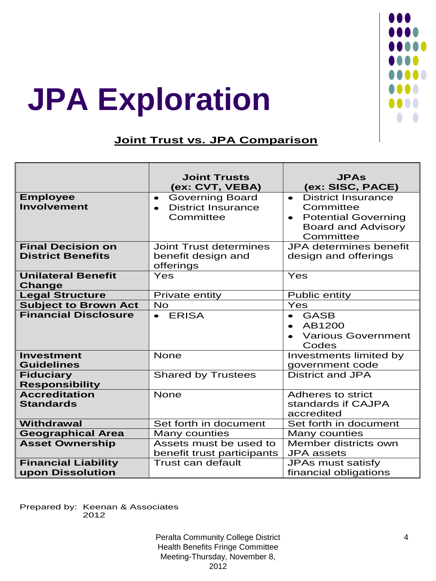

## **JPA Exploration**

### **Joint Trust vs. JPA Comparison**

|                                                      | <b>Joint Trusts</b><br>(ex: CVT, VEBA)                                                     | <b>JPAs</b><br>(ex: SISC, PACE)                                                                                                          |
|------------------------------------------------------|--------------------------------------------------------------------------------------------|------------------------------------------------------------------------------------------------------------------------------------------|
| <b>Employee</b><br><b>Involvement</b>                | <b>Governing Board</b><br>$\bullet$<br><b>District Insurance</b><br>$\bullet$<br>Committee | <b>District Insurance</b><br>$\bullet$<br>Committee<br><b>Potential Governing</b><br>$\bullet$<br><b>Board and Advisory</b><br>Committee |
| <b>Final Decision on</b><br><b>District Benefits</b> | <b>Joint Trust determines</b><br>benefit design and<br>offerings                           | <b>JPA</b> determines benefit<br>design and offerings                                                                                    |
| <b>Unilateral Benefit</b><br><b>Change</b>           | Yes                                                                                        | Yes                                                                                                                                      |
| <b>Legal Structure</b>                               | Private entity                                                                             | <b>Public entity</b>                                                                                                                     |
| <b>Subject to Brown Act</b>                          | <b>No</b>                                                                                  | Yes                                                                                                                                      |
| <b>Financial Disclosure</b>                          | $\bullet$ ERISA                                                                            | <b>GASB</b><br>$\bullet$<br>AB1200<br>$\bullet$<br><b>Various Government</b><br>Codes                                                    |
| <b>Investment</b><br><b>Guidelines</b>               | <b>None</b>                                                                                | Investments limited by<br>government code                                                                                                |
| <b>Fiduciary</b><br><b>Responsibility</b>            | <b>Shared by Trustees</b>                                                                  | <b>District and JPA</b>                                                                                                                  |
| <b>Accreditation</b><br><b>Standards</b>             | <b>None</b>                                                                                | Adheres to strict<br>standards if CAJPA<br>accredited                                                                                    |
| <b>Withdrawal</b>                                    | Set forth in document                                                                      | Set forth in document                                                                                                                    |
| <b>Geographical Area</b>                             | Many counties                                                                              | Many counties                                                                                                                            |
| <b>Asset Ownership</b>                               | Assets must be used to<br>benefit trust participants                                       | Member districts own<br><b>JPA</b> assets                                                                                                |
| <b>Financial Liability</b><br>upon Dissolution       | Trust can default                                                                          | JPAs must satisfy<br>financial obligations                                                                                               |

Prepared by: Keenan & Associates 2012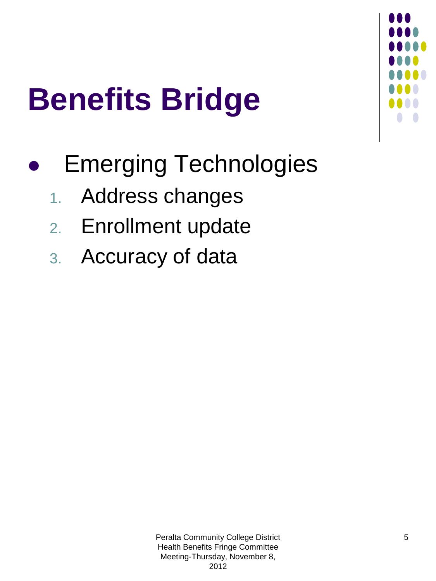

# **Benefits Bridge**

- Emerging Technologies
	- 1. Address changes
	- 2. Enrollment update
	- 3. Accuracy of data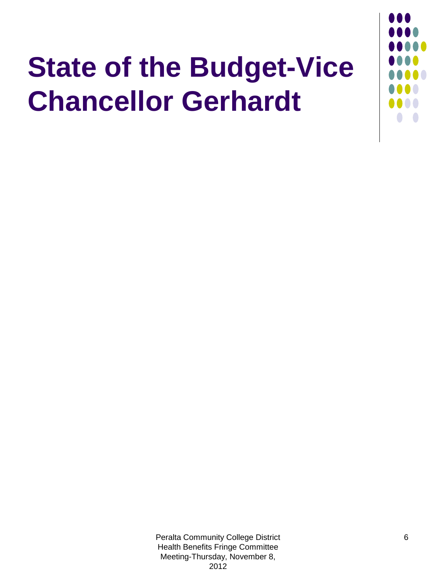## **State of the Budget-Vice Chancellor Gerhardt**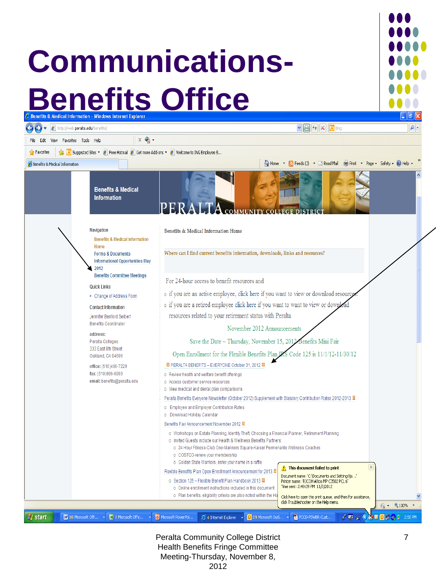## **Communications-Benefits & Office**





Peralta Community College District Health Benefits Fringe Committee Meeting-Thursday, November 8, 2012

4 Internet Explorer v | 0 29 Microsoft Outl...

PCCD-PSWBR-Cust

 $\ell \nabla$ 

R

<sup>n</sup> start

[7] 10 Microsoft Offi...

7 Microsoft Offic.

v oil Microsoft PowerPoi...

**SOUND** 2:50 PM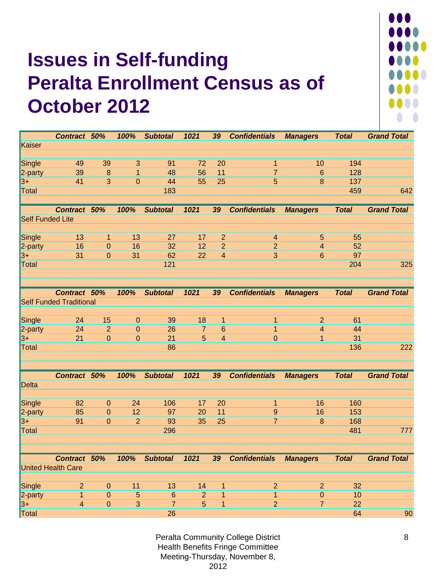### **Issues in Self-funding Peralta Enrollment Census as of October 2012**



|                         | Contract 50%                   |                                | 100%           | <b>Subtotal</b> | 1021                | 39                  | <b>Confidentials</b> | <b>Managers</b>         | <b>Total</b> | <b>Grand Total</b> |
|-------------------------|--------------------------------|--------------------------------|----------------|-----------------|---------------------|---------------------|----------------------|-------------------------|--------------|--------------------|
| Kaiser                  |                                |                                |                |                 |                     |                     |                      |                         |              |                    |
|                         |                                |                                |                |                 |                     |                     |                      |                         |              |                    |
| <b>Single</b>           | 49                             | 39                             | 3              | 91              | 72                  | $\overline{20}$     | $\mathbf{1}$         | 10                      | 194          |                    |
| 2-party                 | 39                             | $\bf 8$                        | 1              | 48              | 56                  | 11                  | $\overline{7}$       | 6                       | 128          |                    |
| $3+$                    | 41                             | $\overline{3}$                 | $\mathbf 0$    | 44              | 55                  | 25                  | $\overline{5}$       | 8                       | 137          |                    |
| <b>Total</b>            |                                |                                |                | 183             |                     |                     |                      |                         | 459          | 642                |
|                         |                                |                                |                |                 |                     |                     |                      |                         |              |                    |
|                         | <b>Contract</b>                | 50%                            | 100%           | <b>Subtotal</b> | 1021                | 39                  | <b>Confidentials</b> | <b>Managers</b>         | <b>Total</b> | <b>Grand Total</b> |
| <b>Self Funded Lite</b> |                                |                                |                |                 |                     |                     |                      |                         |              |                    |
|                         |                                |                                |                |                 |                     |                     |                      |                         |              |                    |
| Single                  | 13                             | $\mathbf{1}$                   | 13             | 27              | 17                  | $\overline{2}$      | $\overline{4}$       | $\overline{5}$          | 55           |                    |
| 2-party                 | 16                             | $\mathbf{0}$                   | 16             | 32              | 12                  | $\overline{2}$      | $\overline{2}$       | $\overline{\mathbf{4}}$ | 52           |                    |
| $3+$                    | 31                             | $\mathbf{0}$                   | 31             | 62              | 22                  | $\overline{4}$      | $\overline{3}$       | 6                       | 97           |                    |
| <b>Total</b>            |                                |                                |                | 121             |                     |                     |                      |                         | 204          | 325                |
|                         |                                |                                |                |                 |                     |                     |                      |                         |              |                    |
|                         |                                |                                |                |                 |                     |                     |                      |                         |              |                    |
|                         | Contract 50%                   |                                | 100%           | <b>Subtotal</b> | 1021                | 39                  | <b>Confidentials</b> | <b>Managers</b>         | <b>Total</b> | <b>Grand Total</b> |
|                         | <b>Self Funded Traditional</b> |                                |                |                 |                     |                     |                      |                         |              |                    |
|                         |                                |                                |                |                 |                     |                     |                      |                         |              |                    |
| Single                  | 24                             | 15                             | $\mathbf{0}$   | 39              | 18                  | $\mathbf{1}$        | $\mathbf{1}$         | $\overline{2}$          | 61           |                    |
| 2-party                 | 24<br>21                       | $\overline{2}$<br>$\mathbf{0}$ | $\mathbf 0$    | 26<br>21        | $\overline{7}$<br>5 | 6<br>$\overline{4}$ | $\overline{1}$       | $\overline{\mathbf{4}}$ | 44<br>31     |                    |
| $3+$<br><b>Total</b>    |                                |                                | $\mathbf{0}$   | 86              |                     |                     | $\mathbf{0}$         | $\mathbf{1}$            | 136          | 222                |
|                         |                                |                                |                |                 |                     |                     |                      |                         |              |                    |
|                         |                                |                                |                |                 |                     |                     |                      |                         |              |                    |
|                         | Contract 50%                   |                                | 100%           | <b>Subtotal</b> | 1021                | 39                  | <b>Confidentials</b> | <b>Managers</b>         | <b>Total</b> | <b>Grand Total</b> |
| <b>Delta</b>            |                                |                                |                |                 |                     |                     |                      |                         |              |                    |
|                         |                                |                                |                |                 |                     |                     |                      |                         |              |                    |
| Single                  | 82                             | $\mathbf{0}$                   | 24             | 106             | 17                  | 20                  | $\mathbf{1}$         | 16                      | 160          |                    |
| 2-party                 | 85                             | $\mathbf{0}$                   | 12             | 97              | 20                  | 11                  | $\boldsymbol{9}$     | 16                      | 153          |                    |
| 3+                      | 91                             | $\overline{0}$                 | $\overline{2}$ | 93              | 35                  | 25                  | $\overline{7}$       | 8                       | 168          |                    |
| <b>Total</b>            |                                |                                |                | 296             |                     |                     |                      |                         | 481          | 777                |
|                         |                                |                                |                |                 |                     |                     |                      |                         |              |                    |
|                         |                                |                                |                |                 |                     |                     |                      |                         |              |                    |
|                         | <b>Contract</b>                | 50%                            | 100%           | <b>Subtotal</b> | 1021                | 39                  | <b>Confidentials</b> | <b>Managers</b>         | <b>Total</b> | <b>Grand Total</b> |
|                         | <b>United Health Care</b>      |                                |                |                 |                     |                     |                      |                         |              |                    |
|                         |                                |                                |                |                 |                     |                     |                      |                         |              |                    |
| Single                  | $\overline{a}$                 | $\mathbf{0}$                   | 11             | 13              | 14                  | $\mathbf{1}$        | $\overline{2}$       | $\overline{2}$          | 32           |                    |
| 2-party                 | 1                              | $\mathbf 0$                    | 5              | 6               | $\overline{2}$      | 1                   | $\overline{1}$       | $\mathbf 0$             | 10           |                    |
| $3+$                    | 4                              | $\overline{0}$                 | 3              | $\overline{7}$  | 5                   | $\overline{1}$      | $\overline{2}$       | $\overline{7}$          | 22           |                    |
| Total                   |                                |                                |                | 26              |                     |                     |                      |                         | 64           | 90                 |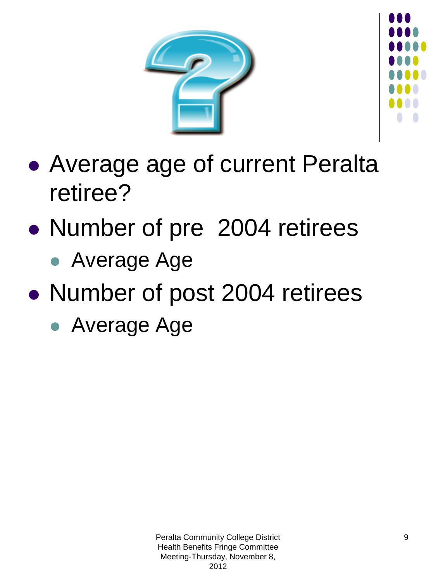



- Average age of current Peralta retiree?
- Number of pre 2004 retirees
	- Average Age
- Number of post 2004 retirees
	- Average Age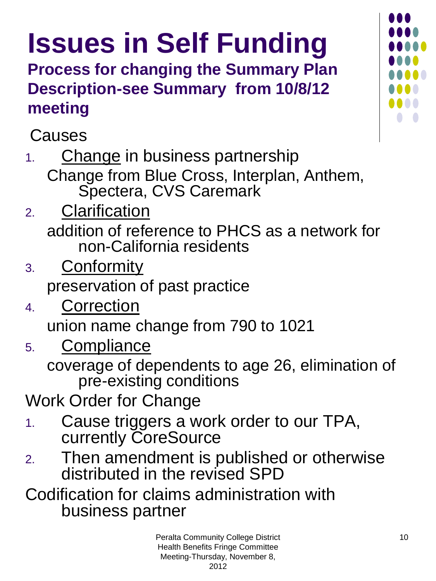## **Issues in Self Funding**

**Process for changing the Summary Plan Description-see Summary from 10/8/12 meeting**

Causes

1. Change in business partnership Change from Blue Cross, Interplan, Anthem, Spectera, CVS Caremark

- 2. Clarification addition of reference to PHCS as a network for non-California residents
- 3. **Conformity** preservation of past practice
- 4. Correction union name change from 790 to 1021
- 5. Compliance

coverage of dependents to age 26, elimination of pre-existing conditions

Work Order for Change

- 1. Cause triggers a work order to our TPA, currently CoreSource
- 2. Then amendment is published or otherwise distributed in the revised SPD

Codification for claims administration with business partner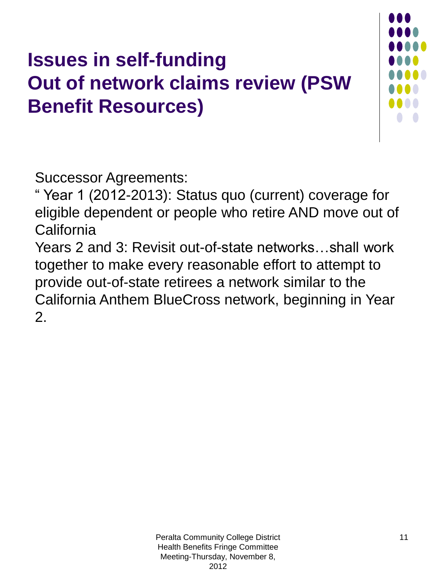### **Issues in self-funding Out of network claims review (PSW Benefit Resources)**



Successor Agreements:

" Year 1 (2012-2013): Status quo (current) coverage for eligible dependent or people who retire AND move out of **California** 

Years 2 and 3: Revisit out-of-state networks…shall work together to make every reasonable effort to attempt to provide out-of-state retirees a network similar to the California Anthem BlueCross network, beginning in Year 2.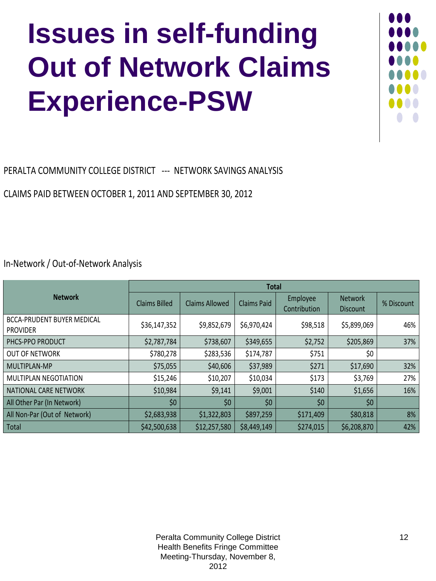## **Issues in self-funding Out of Network Claims Experience-PSW**



PERALTA COMMUNITY COLLEGE DISTRICT --- NETWORK SAVINGS ANALYSIS

CLAIMS PAID BETWEEN OCTOBER 1, 2011 AND SEPTEMBER 30, 2012

In-Network / Out-of-Network Analysis

|                                                      | <b>Total</b>         |                       |                    |                          |                                   |            |
|------------------------------------------------------|----------------------|-----------------------|--------------------|--------------------------|-----------------------------------|------------|
| <b>Network</b>                                       | <b>Claims Billed</b> | <b>Claims Allowed</b> | <b>Claims Paid</b> | Employee<br>Contribution | <b>Network</b><br><b>Discount</b> | % Discount |
| <b>BCCA-PRUDENT BUYER MEDICAL</b><br><b>PROVIDER</b> | \$36,147,352         | \$9,852,679           | \$6,970,424        | \$98,518                 | \$5,899,069                       | 46%        |
| PHCS-PPO PRODUCT                                     | \$2,787,784          | \$738,607             | \$349,655          | \$2,752                  | \$205,869                         | 37%        |
| <b>OUT OF NETWORK</b>                                | \$780,278            | \$283,536             | \$174,787          | \$751                    | \$0                               |            |
| MULTIPLAN-MP                                         | \$75,055             | \$40,606              | \$37,989           | \$271                    | \$17,690                          | 32%        |
| MULTIPLAN NEGOTIATION                                | \$15,246             | \$10,207              | \$10,034           | \$173                    | \$3,769                           | 27%        |
| NATIONAL CARE NETWORK                                | \$10,984             | \$9,141               | \$9,001            | \$140                    | \$1,656                           | 16%        |
| All Other Par (In Network)                           | \$0                  | \$0\$                 | \$0                | \$0\$                    | \$0                               |            |
| All Non-Par (Out of Network)                         | \$2,683,938          | \$1,322,803           | \$897,259          | \$171,409                | \$80,818                          | 8%         |
| Total                                                | \$42,500,638         | \$12,257,580          | \$8,449,149        | \$274,015                | \$6,208,870                       | 42%        |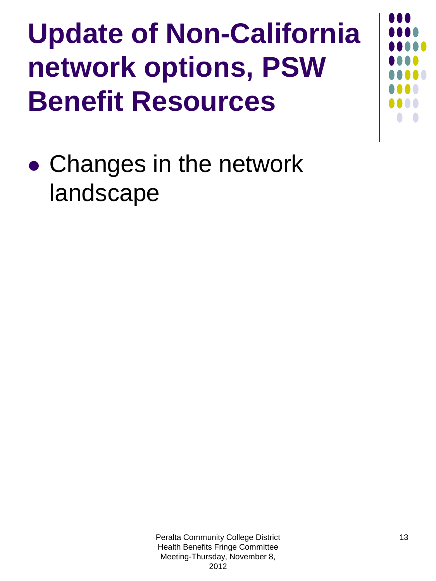## **Update of Non-California network options, PSW Benefit Resources**

**• Changes in the network** landscape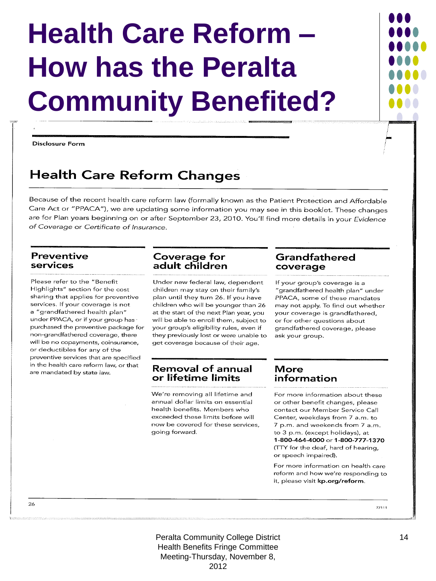## **Health Care Reform – How has the Peralta Community Benefited?**

**Disclosure Form** 

### **Health Care Reform Changes**

Because of the recent health care reform law (formally known as the Patient Protection and Affordable Care Act or "PPACA"), we are updating some information you may see in this booklet. These changes are for Plan years beginning on or after September 23, 2010. You'll find more details in your Evidence of Coverage or Certificate of Insurance.

### **Preventive** services

Please refer to the "Benefit Highlights" section for the cost sharing that applies for preventive services. If your coverage is not a "grandfathered health plan" under PPACA, or if your group has purchased the preventive package for non-grandfathered coverage, there will be no copayments, coinsurance, or deductibles for any of the preventive services that are specified in the health care reform law, or that are mandated by state law.

### **Coverage for<br>adult children**

Under new federal law, dependent children may stay on their family's plan until they turn 26. If you have children who will be younger than 26 at the start of the next Plan year, you will be able to enroll them, subject to your group's eligibility rules, even if they previously lost or were unable to get coverage because of their age.

### **Removal of annual** or lifetime limits

We're removing all lifetime and annual dollar limits on essential health benefits. Members who exceeded these limits before will now be covered for these services, going forward.

### Grandfathered coverage

If your group's coverage is a "grandfathered health plan" under PPACA, some of these mandates may not apply. To find out whether your coverage is grandfathered, or for other questions about grandfathered coverage, please ask your group.

### **More** information

For more information about these or other benefit changes, please contact our Member Service Call Center, weekdays from 7 a.m. to 7 p.m. and weekends from 7 a.m. to 3 p.m. (except holidays), at 1-800-464-4000 or 1-800-777-1370 (TTY for the deaf, hard of hearing, or speech impaired).

For more information on health care reform and how we're responding to it, please visit kp.org/reform.

 $77111$ 

Peralta Community College District Health Benefits Fringe Committee Meeting-Thursday, November 8, 2012

26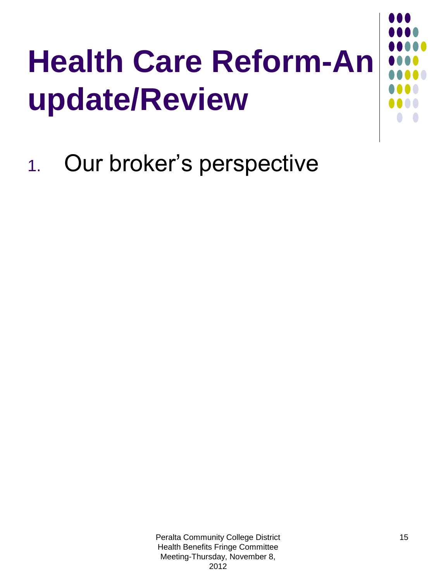# **Health Care Reform-An update/Review**

1. Our broker's perspective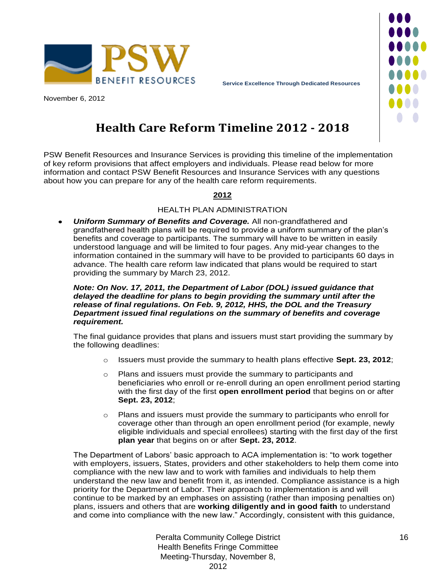



November 6, 2012

### **Health Care Reform Timeline 2012 - 2018**

PSW Benefit Resources and Insurance Services is providing this timeline of the implementation of key reform provisions that affect employers and individuals. Please read below for more information and contact PSW Benefit Resources and Insurance Services with any questions about how you can prepare for any of the health care reform requirements.

### **2012**

### HEALTH PLAN ADMINISTRATION

*Uniform Summary of Benefits and Coverage.* All non-grandfathered and grandfathered health plans will be required to provide a uniform summary of the plan's benefits and coverage to participants. The summary will have to be written in easily understood language and will be limited to four pages. Any mid-year changes to the information contained in the summary will have to be provided to participants 60 days in advance. The health care reform law indicated that plans would be required to start providing the summary by March 23, 2012.

### *Note: On Nov. 17, 2011, the Department of Labor (DOL) issued guidance that delayed the deadline for plans to begin providing the summary until after the release of final regulations. On Feb. 9, 2012, HHS, the DOL and the Treasury Department issued final regulations on the summary of benefits and coverage requirement.*

The final guidance provides that plans and issuers must start providing the summary by the following deadlines:

- o Issuers must provide the summary to health plans effective **Sept. 23, 2012**;
- o Plans and issuers must provide the summary to participants and beneficiaries who enroll or re-enroll during an open enrollment period starting with the first day of the first **open enrollment period** that begins on or after **Sept. 23, 2012**;
- $\circ$  Plans and issuers must provide the summary to participants who enroll for coverage other than through an open enrollment period (for example, newly eligible individuals and special enrollees) starting with the first day of the first **plan year** that begins on or after **Sept. 23, 2012**.

The Department of Labors' basic approach to ACA implementation is: "to work together with employers, issuers, States, providers and other stakeholders to help them come into compliance with the new law and to work with families and individuals to help them understand the new law and benefit from it, as intended. Compliance assistance is a high priority for the Department of Labor. Their approach to implementation is and will continue to be marked by an emphases on assisting (rather than imposing penalties on) plans, issuers and others that are **working diligently and in good faith** to understand and come into compliance with the new law." Accordingly, consistent with this guidance,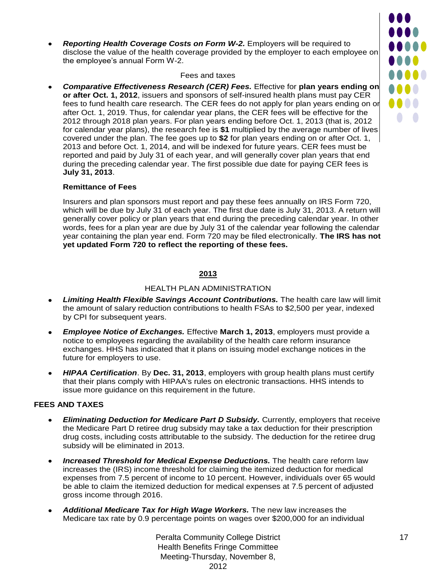*Reporting Health Coverage Costs on Form W-2.* Employers will be required to  $\bullet$ disclose the value of the health coverage provided by the employer to each employee on the employee's annual Form W-2.

#### Fees and taxes

*Comparative Effectiveness Research (CER) Fees.* Effective for **plan years ending on or after Oct. 1, 2012**, issuers and sponsors of self-insured health plans must pay CER fees to fund health care research. The CER fees do not apply for plan years ending on or after Oct. 1, 2019. Thus, for calendar year plans, the CER fees will be effective for the 2012 through 2018 plan years. For plan years ending before Oct. 1, 2013 (that is, 2012 for calendar year plans), the research fee is **\$1** multiplied by the average number of lives covered under the plan. The fee goes up to **\$2** for plan years ending on or after Oct. 1, 2013 and before Oct. 1, 2014, and will be indexed for future years. CER fees must be reported and paid by July 31 of each year, and will generally cover plan years that end during the preceding calendar year. The first possible due date for paying CER fees is **July 31, 2013**.

### **Remittance of Fees**

Insurers and plan sponsors must report and pay these fees annually on IRS Form 720, which will be due by July 31 of each year. The first due date is July 31, 2013. A return will generally cover policy or plan years that end during the preceding calendar year. In other words, fees for a plan year are due by July 31 of the calendar year following the calendar year containing the plan year end. Form 720 may be filed electronically. **The IRS has not yet updated Form 720 to reflect the reporting of these fees.**

### **2013**

#### HEALTH PLAN ADMINISTRATION

- *Limiting Health Flexible Savings Account Contributions.* The health care law will limit the amount of salary reduction contributions to health FSAs to \$2,500 per year, indexed by CPI for subsequent years.
- *Employee Notice of Exchanges.* Effective **March 1, 2013**, employers must provide a notice to employees regarding the availability of the health care reform insurance exchanges. HHS has indicated that it plans on issuing model exchange notices in the future for employers to use.
- *HIPAA Certification*. By **Dec. 31, 2013**, employers with group health plans must certify  $\bullet$ that their plans comply with HIPAA's rules on electronic transactions. HHS intends to issue more guidance on this requirement in the future.

### **FEES AND TAXES**

- *Eliminating Deduction for Medicare Part D Subsidy.* Currently, employers that receive  $\bullet$ the Medicare Part D retiree drug subsidy may take a tax deduction for their prescription drug costs, including costs attributable to the subsidy. The deduction for the retiree drug subsidy will be eliminated in 2013.
- *Increased Threshold for Medical Expense Deductions.* The health care reform law  $\bullet$ increases the (IRS) income threshold for claiming the itemized deduction for medical expenses from 7.5 percent of income to 10 percent. However, individuals over 65 would be able to claim the itemized deduction for medical expenses at 7.5 percent of adjusted gross income through 2016.
- *Additional Medicare Tax for High Wage Workers.* The new law increases the  $\bullet$ Medicare tax rate by 0.9 percentage points on wages over \$200,000 for an individual

Peralta Community College District Health Benefits Fringe Committee Meeting -Thursday, November 8, 2012

**...** 00000

0000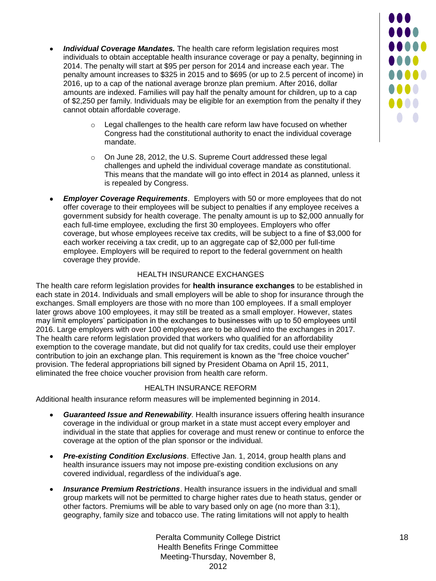- *Individual Coverage Mandates.* The health care reform legislation requires most individuals to obtain acceptable health insurance coverage or pay a penalty, beginning in 2014. The penalty will start at \$95 per person for 2014 and increase each year. The penalty amount increases to \$325 in 2015 and to \$695 (or up to 2.5 percent of income) in 2016, up to a cap of the national average bronze plan premium. After 2016, dollar amounts are indexed. Families will pay half the penalty amount for children, up to a cap of \$2,250 per family. Individuals may be eligible for an exemption from the penalty if they cannot obtain affordable coverage.
	- o Legal challenges to the health care reform law have focused on whether Congress had the constitutional authority to enact the individual coverage mandate.
	- o On June 28, 2012, the U.S. Supreme Court addressed these legal challenges and upheld the individual coverage mandate as constitutional. This means that the mandate will go into effect in 2014 as planned, unless it is repealed by Congress.
- *Employer Coverage Requirements*. Employers with 50 or more employees that do not  $\bullet$ offer coverage to their employees will be subject to penalties if any employee receives a government subsidy for health coverage. The penalty amount is up to \$2,000 annually for each full-time employee, excluding the first 30 employees. Employers who offer coverage, but whose employees receive tax credits, will be subject to a fine of \$3,000 for each worker receiving a tax credit, up to an aggregate cap of \$2,000 per full-time employee. Employers will be required to report to the federal government on health coverage they provide.

### HEALTH INSURANCE EXCHANGES

The health care reform legislation provides for **health insurance exchanges** to be established in each state in 2014. Individuals and small employers will be able to shop for insurance through the exchanges. Small employers are those with no more than 100 employees. If a small employer later grows above 100 employees, it may still be treated as a small employer. However, states may limit employers' participation in the exchanges to businesses with up to 50 employees until 2016. Large employers with over 100 employees are to be allowed into the exchanges in 2017. The health care reform legislation provided that workers who qualified for an affordability exemption to the coverage mandate, but did not qualify for tax credits, could use their employer contribution to join an exchange plan. This requirement is known as the "free choice voucher" provision. The federal appropriations bill signed by President Obama on April 15, 2011, eliminated the free choice voucher provision from health care reform.

### HEALTH INSURANCE REFORM

Additional health insurance reform measures will be implemented beginning in 2014.

- $\bullet$ *Guaranteed Issue and Renewability*. Health insurance issuers offering health insurance coverage in the individual or group market in a state must accept every employer and individual in the state that applies for coverage and must renew or continue to enforce the coverage at the option of the plan sponsor or the individual.
- *Pre-existing Condition Exclusions*. Effective Jan. 1, 2014, group health plans and  $\bullet$ health insurance issuers may not impose pre-existing condition exclusions on any covered individual, regardless of the individual's age.
- *Insurance Premium Restrictions*. Health insurance issuers in the individual and small  $\bullet$ group markets will not be permitted to charge higher rates due to heath status, gender or other factors. Premiums will be able to vary based only on age (no more than 3:1), geography, family size and tobacco use. The rating limitations will not apply to health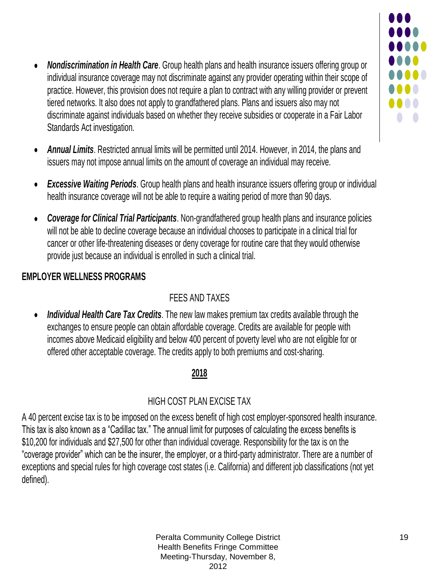- *Nondiscrimination in Health Care*. Group health plans and health insurance issuers offering group or individual insurance coverage may not discriminate against any provider operating within their scope of practice. However, this provision does not require a plan to contract with any willing provider or prevent tiered networks. It also does not apply to grandfathered plans. Plans and issuers also may not discriminate against individuals based on whether they receive subsidies or cooperate in a Fair Labor Standards Act investigation.
- *Annual Limits*. Restricted annual limits will be permitted until 2014. However, in 2014, the plans and issuers may not impose annual limits on the amount of coverage an individual may receive.
- *Excessive Waiting Periods.* Group health plans and health insurance issuers offering group or individual health insurance coverage will not be able to require a waiting period of more than 90 days.
- *Coverage for Clinical Trial Participants*. Non-grandfathered group health plans and insurance policies will not be able to decline coverage because an individual chooses to participate in a clinical trial for cancer or other life-threatening diseases or deny coverage for routine care that they would otherwise provide just because an individual is enrolled in such a clinical trial.

### **EMPLOYER WELLNESS PROGRAMS**

### FEES AND TAXES

*Individual Health Care Tax Credits*. The new law makes premium tax credits available through the  $\bullet$ exchanges to ensure people can obtain affordable coverage. Credits are available for people with incomes above Medicaid eligibility and below 400 percent of poverty level who are not eligible for or offered other acceptable coverage. The credits apply to both premiums and cost-sharing.

### **2018**

### HIGH COST PLAN EXCISE TAX

A 40 percent excise tax is to be imposed on the excess benefit of high cost employer-sponsored health insurance. This tax is also known as a "Cadillac tax." The annual limit for purposes of calculating the excess benefits is \$10,200 for individuals and \$27,500 for other than individual coverage. Responsibility for the tax is on the "coverage provider" which can be the insurer, the employer, or a third-party administrator. There are a number of exceptions and special rules for high coverage cost states (i.e. California) and different job classifications (not yet defined).

1000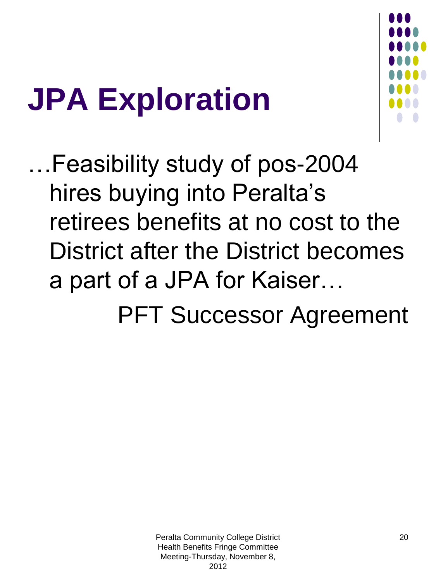# **JPA Exploration**



…Feasibility study of pos-2004 hires buying into Peralta's retirees benefits at no cost to the District after the District becomes a part of a JPA for Kaiser…

PFT Successor Agreement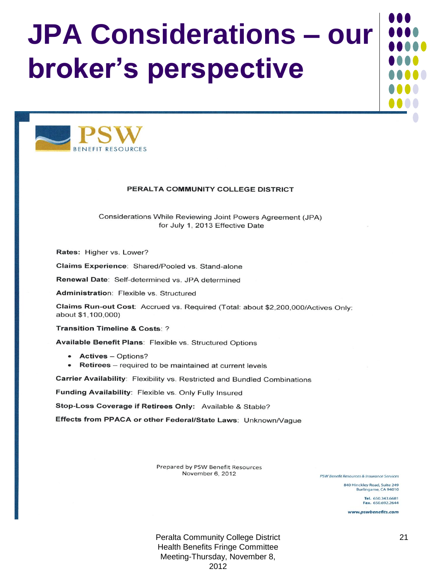## **JPA Considerations – our broker's perspective**



#### PERALTA COMMUNITY COLLEGE DISTRICT

Considerations While Reviewing Joint Powers Agreement (JPA) for July 1, 2013 Effective Date

Rates: Higher vs. Lower?

Claims Experience: Shared/Pooled vs. Stand-alone

Renewal Date: Self-determined vs. JPA determined

Administration: Flexible vs. Structured

Claims Run-out Cost: Accrued vs. Required (Total: about \$2,200,000/Actives Only: about \$1,100,000)

Transition Timeline & Costs: ?

Available Benefit Plans: Flexible vs. Structured Options

- Actives Options?
- Retirees required to be maintained at current levels

Carrier Availability: Flexibility vs. Restricted and Bundled Combinations

Funding Availability: Flexible vs. Only Fully Insured

Stop-Loss Coverage if Retirees Only: Available & Stable?

Effects from PPACA or other Federal/State Laws: Unknown/Vague

Prepared by PSW Benefit Resources November 6, 2012

PSW Benefit Resources & Insurance Services

840 Hinckley Road, Suite 249 Burlingame, CA 94010

> Tel. 650.343.6681 Fax. 650.692.2644

www.pswbenefits.com